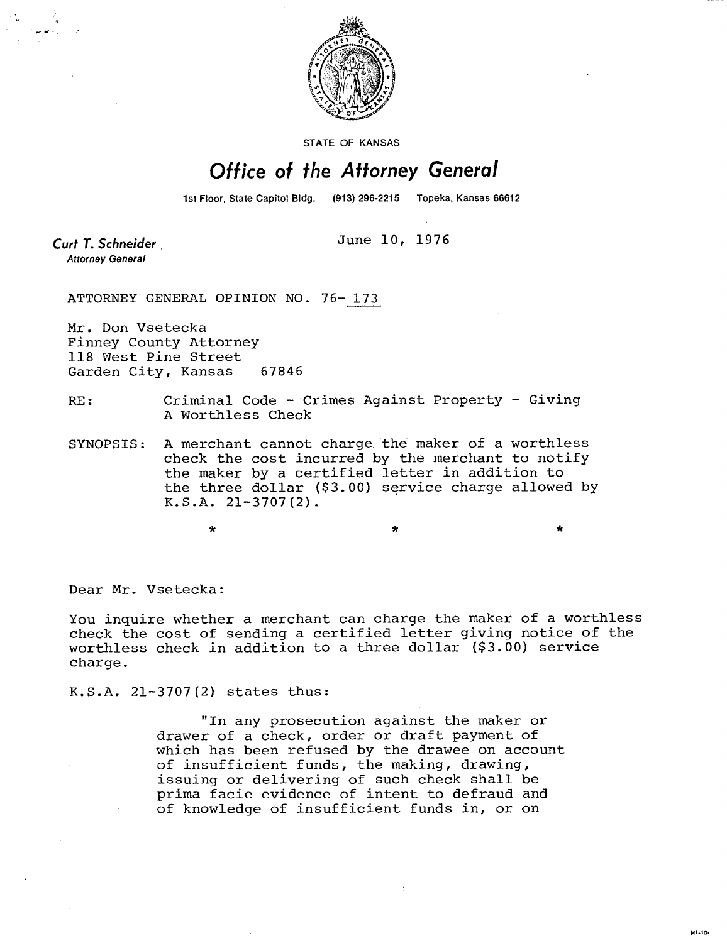

STATE OF KANSAS

## Office of the Attorney General

1st Floor, State Capitol Bldg. (913) 296-2215 Topeka, Kansas 66612

Curt T. Schneider **Attorney General** 

June 10, 1976

ATTORNEY GENERAL OPINION NO. 76- 173

Mr. Don Vsetecka Finney County Attorney 118 West Pine Street Garden City, Kansas 67846

RE: Criminal Code - Crimes Against Property - Giving A Worthless Check

SYNOPSIS: A merchant cannot charge the maker of a worthless check the cost incurred by the merchant to notify the maker by a certified letter in addition to the three dollar (\$3.00) service charge allowed by K.S.A. 21-3707(2).

Dear Mr. Vsetecka:

You inquire whether a merchant can charge the maker of a worthless check the cost of sending a certified letter giving notice of the worthless check in addition to a three dollar (\$3.00) service charge.

K.S.A. 21-3707(2) states thus:

\*

"In any prosecution against the maker or drawer of a check, order or draft payment of which has been refused by the drawee on account of insufficient funds, the making, drawing, issuing or delivering of such check shall be prima facie evidence of intent to defraud and of knowledge of insufficient funds in, or on